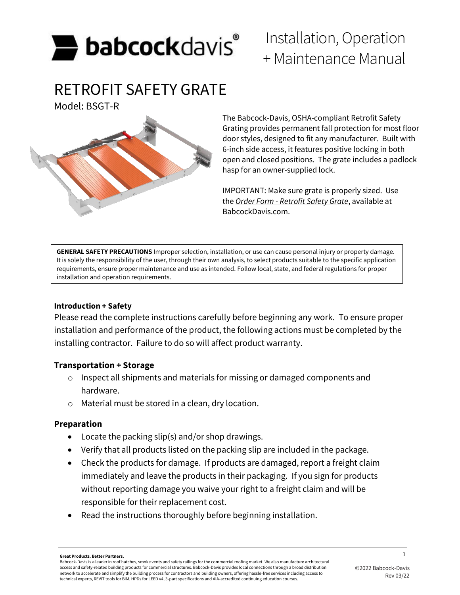

# RETROFIT SAFETY GRATE

Model: BSGT-R



# Installation, Operation + Maintenance Manual

The Babcock-Davis, OSHA-compliant Retrofit Safety Grating provides permanent fall protection for most floor door styles, designed to fit any manufacturer. Built with 6-inch side access, it features positive locking in both open and closed positions. The grate includes a padlock hasp for an owner-supplied lock.

IMPORTANT: Make sure grate is properly sized. Use the *Order Form - Retrofit Safety Grate*, available at BabcockDavis.com.

**GENERAL SAFETY PRECAUTIONS** Improper selection, installation, or use can cause personal injury or property damage. It is solely the responsibility of the user, through their own analysis, to select products suitable to the specific application requirements, ensure proper maintenance and use as intended. Follow local, state, and federal regulations for proper installation and operation requirements.

# **Introduction + Safety**

Please read the complete instructions carefully before beginning any work. To ensure proper installation and performance of the product, the following actions must be completed by the installing contractor. Failure to do so will affect product warranty.

# **Transportation + Storage**

- o Inspect all shipments and materials for missing or damaged components and hardware.
- o Material must be stored in a clean, dry location.

# **Preparation**

- Locate the packing slip(s) and/or shop drawings.
- Verify that all products listed on the packing slip are included in the package.
- Check the products for damage. If products are damaged, report a freight claim immediately and leave the products in their packaging. If you sign for products without reporting damage you waive your right to a freight claim and will be responsible for their replacement cost.
- Read the instructions thoroughly before beginning installation.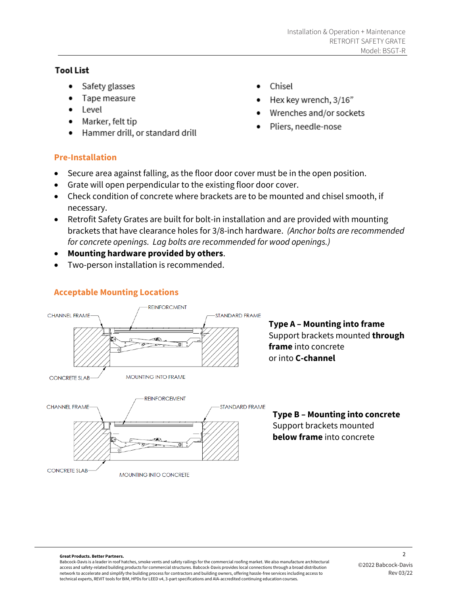# **Tool List**

- Safety glasses
- Tape measure
- $\bullet$  Level
- Marker, felt tip
- Hammer drill, or standard drill
- Chisel
- Hex key wrench, 3/16"
- Wrenches and/or sockets
- Pliers, needle-nose

# **Pre-Installation**

- Secure area against falling, as the floor door cover must be in the open position.
- Grate will open perpendicular to the existing floor door cover.
- Check condition of concrete where brackets are to be mounted and chisel smooth, if necessary.
- Retrofit Safety Grates are built for bolt-in installation and are provided with mounting brackets that have clearance holes for 3/8-inch hardware. *(Anchor bolts are recommended for concrete openings. Lag bolts are recommended for wood openings.)*
- **Mounting hardware provided by others**.
- Two-person installation is recommended.

# **Acceptable Mounting Locations**



**MOUNTING INTO CONCRETE** 

**Type A – Mounting into frame** Support brackets mounted **through frame** into concrete or into **C-channel**



#### 2 **Great Products. Better Partners.**

**CONCRETE SLAB** 

Babcock-Davis is a leader in roof hatches, smoke vents and safety railings for the commercial roofing market. We also manufacture architectural access and safety-related building products for commercial structures. Babcock-Davis provides local connections through a broad distribution network to accelerate and simplify the building process for contractors and building owners, offering hassle-free services including access to technical experts, REVIT tools for BIM, HPDs for LEED v4, 3-part specifications and AIA-accredited continuing education courses.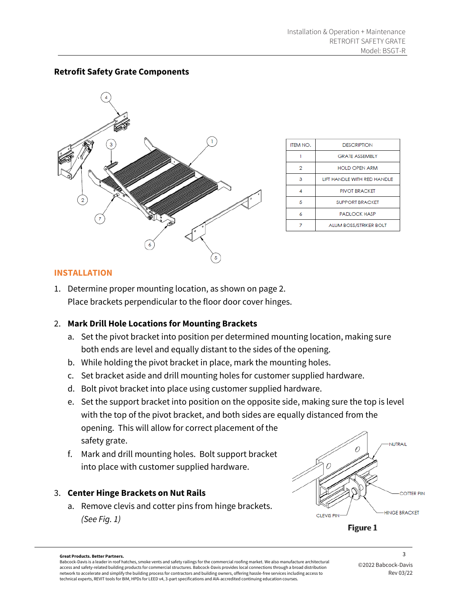

| ITEM NO. | <b>DESCRIPTION</b>            |
|----------|-------------------------------|
|          | <b>GRATE ASSEMBLY</b>         |
| 2        | <b>HOLD OPEN ARM</b>          |
| з        | LIFT HANDLE WITH RED HANDLE   |
|          | PIVOT BRACKET                 |
| 5        | <b>SUPPORT BRACKET</b>        |
| 6        | <b>PADLOCK HASP</b>           |
|          | <b>ALUM BOSS/STRIKER BOLT</b> |

# **Retrofit Safety Grate Components**

#### **INSTALLATION**

1. Determine proper mounting location, as shown on page 2. Place brackets perpendicular to the floor door cover hinges.

#### 2. **Mark Drill Hole Locations for Mounting Brackets**

- a. Set the pivot bracket into position per determined mounting location, making sure both ends are level and equally distant to the sides of the opening.
- b. While holding the pivot bracket in place, mark the mounting holes.
- c. Set bracket aside and drill mounting holes for customer supplied hardware.
- d. Bolt pivot bracket into place using customer supplied hardware.
- e. Set the support bracket into position on the opposite side, making sure the top is level with the top of the pivot bracket, and both sides are equally distanced from the opening. This will allow for correct placement of the safety grate.
- f. Mark and drill mounting holes. Bolt support bracket into place with customer supplied hardware.

# 3. **Center Hinge Brackets on Nut Rails**

a. Remove clevis and cotter pins from hinge brackets. *(See Fig. 1)* 



Figure 1

#### 3 **Great Products. Better Partners.**

Babcock-Davis is a leader in roof hatches, smoke vents and safety railings for the commercial roofing market. We also manufacture architectural access and safety-related building products for commercial structures. Babcock-Davis provides local connections through a broad distribution network to accelerate and simplify the building process for contractors and building owners, offering hassle-free services including access to technical experts, REVIT tools for BIM, HPDs for LEED v4, 3-part specifications and AIA-accredited continuing education courses.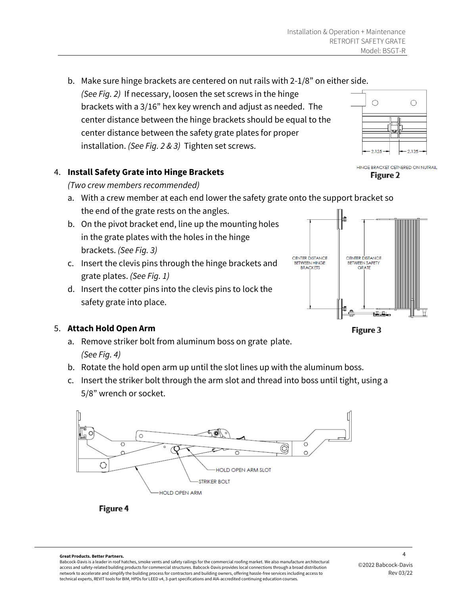b. Make sure hinge brackets are centered on nut rails with 2-1/8" on either side. *(See Fig. 2)* If necessary, loosen the set screws in the hinge brackets with a 3/16" hex key wrench and adjust as needed. The center distance between the hinge brackets should be equal to the center distance between the safety grate plates for proper installation. *(See Fig. 2 & 3)* Tighten set screws.

# 4. **Install Safety Grate into Hinge Brackets**

*(Two crew members recommended)*

- a. With a crew member at each end lower the safety grate onto the support bracket so the end of the grate rests on the angles.
- b. On the pivot bracket end, line up the mounting holes in the grate plates with the holes in the hinge brackets. *(See Fig. 3)*
- c. Insert the clevis pins through the hinge brackets and grate plates. *(See Fig. 1)*
- d. Insert the cotter pins into the clevis pins to lock the safety grate into place.

# 5. **Attach Hold Open Arm**

- a. Remove striker bolt from aluminum boss on grate plate. *(See Fig. 4)*
- b. Rotate the hold open arm up until the slot lines up with the aluminum boss.
- c. Insert the striker bolt through the arm slot and thread into boss until tight, using a 5/8" wrench or socket.





HINGE BRACKET CETNERED ON NUTRAIL

 $\bigcirc$ 

 $\bigcirc$ 

2.125



Figure 3

4 **Great Products. Better Partners.**

Babcock-Davis is a leader in roof hatches, smoke vents and safety railings for the commercial roofing market. We also manufacture architectural access and safety-related building products for commercial structures. Babcock-Davis provides local connections through a broad distribution network to accelerate and simplify the building process for contractors and building owners, offering hassle-free services including access to technical experts, REVIT tools for BIM, HPDs for LEED v4, 3-part specifications and AIA-accredited continuing education courses.